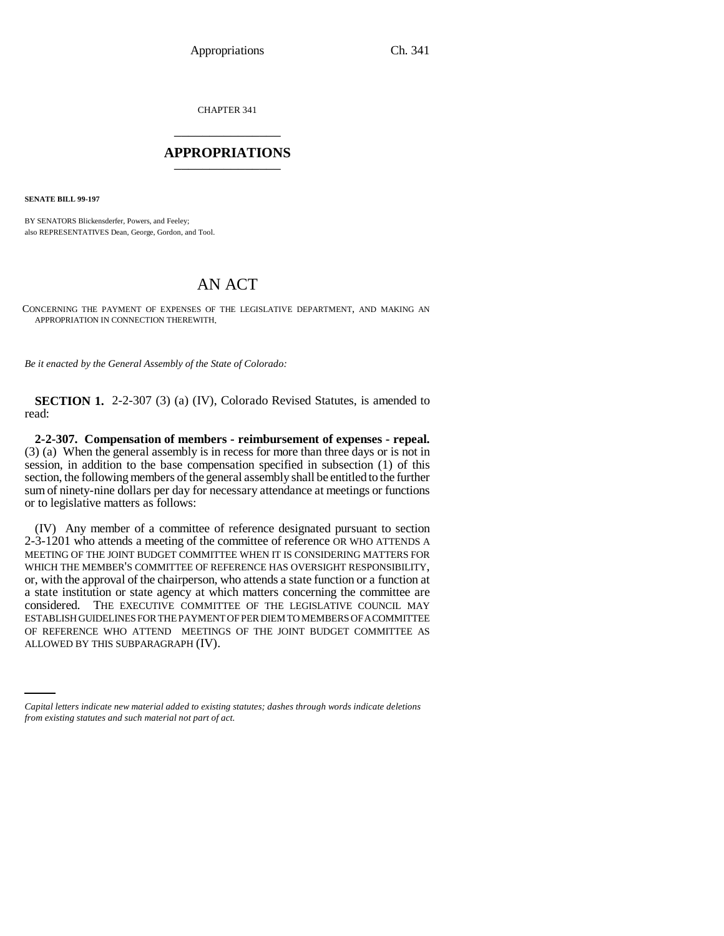CHAPTER 341 \_\_\_\_\_\_\_\_\_\_\_\_\_\_\_

## **APPROPRIATIONS** \_\_\_\_\_\_\_\_\_\_\_\_\_\_\_

**SENATE BILL 99-197** 

BY SENATORS Blickensderfer, Powers, and Feeley; also REPRESENTATIVES Dean, George, Gordon, and Tool.

## AN ACT

CONCERNING THE PAYMENT OF EXPENSES OF THE LEGISLATIVE DEPARTMENT, AND MAKING AN APPROPRIATION IN CONNECTION THEREWITH.

*Be it enacted by the General Assembly of the State of Colorado:*

**SECTION 1.** 2-2-307 (3) (a) (IV), Colorado Revised Statutes, is amended to read:

**2-2-307. Compensation of members - reimbursement of expenses - repeal.** (3) (a) When the general assembly is in recess for more than three days or is not in session, in addition to the base compensation specified in subsection (1) of this section, the following members of the general assembly shall be entitled to the further sum of ninety-nine dollars per day for necessary attendance at meetings or functions or to legislative matters as follows:

OF REFERENCE WHO ATTEND MEETINGS OF THE JOINT BUDGET COMMITTEE AS (IV) Any member of a committee of reference designated pursuant to section 2-3-1201 who attends a meeting of the committee of reference OR WHO ATTENDS A MEETING OF THE JOINT BUDGET COMMITTEE WHEN IT IS CONSIDERING MATTERS FOR WHICH THE MEMBER'S COMMITTEE OF REFERENCE HAS OVERSIGHT RESPONSIBILITY, or, with the approval of the chairperson, who attends a state function or a function at a state institution or state agency at which matters concerning the committee are considered. THE EXECUTIVE COMMITTEE OF THE LEGISLATIVE COUNCIL MAY ESTABLISH GUIDELINES FOR THE PAYMENT OF PER DIEM TO MEMBERS OF A COMMITTEE ALLOWED BY THIS SUBPARAGRAPH (IV).

*Capital letters indicate new material added to existing statutes; dashes through words indicate deletions from existing statutes and such material not part of act.*